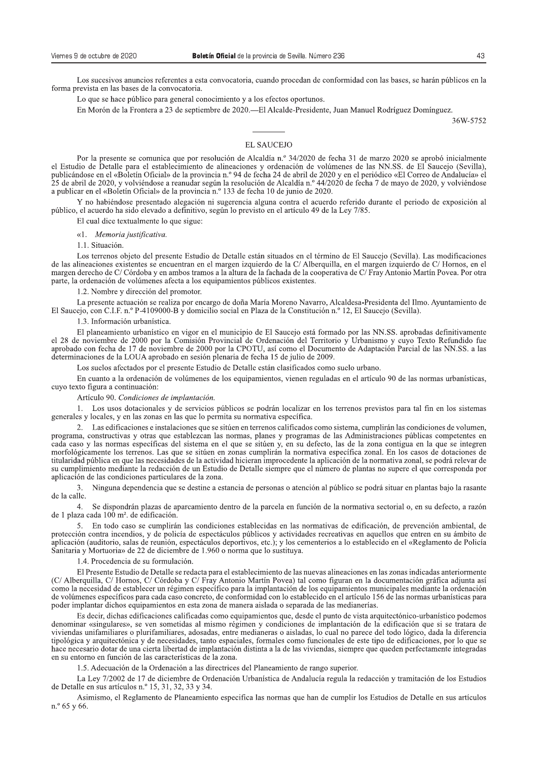Los sucesivos anuncios referentes a esta convocatoria, cuando procedan de conformidad con las bases, se harán públicos en la forma prevista en las bases de la convocatoria.

Lo que se hace público para general conocimiento y a los efectos oportunos.

En Morón de la Frontera a 23 de septiembre de 2020.—El Alcalde-Presidente, Juan Manuel Rodríguez Domínguez.

36W-5752

## **EL SAUCEJO**

Por la presente se comunica que por resolución de Alcaldía n.º 34/2020 de fecha 31 de marzo 2020 se aprobó inicialmente el Estudio de Detalle para el establecimiento de alineaciones y ordenación de volúmenes de las NN.SS. de El Saucejo (Sevilla), publicándose en el «Boletín Oficial» de la provincia n.º 94 de fecha 24 de abril de 2020 y en el periódico «El Correo de Andalucía» el 25 de abril de 2020, y volviéndose a reanudar según la resolución de Alcaldía n.º 44/2020 de fecha 7 de mayo de 2020, y volviéndose a publicar en el «Boletín Oficial» de la provincia n.º 133 de fecha 10 de junio de 2020.

Y no habiéndose presentado alegación ni sugerencia alguna contra el acuerdo referido durante el periodo de exposición al público, el acuerdo ha sido elevado a definitivo, según lo previsto en el artículo 49 de la Ley 7/85.

El cual dice textualmente lo que sigue:

«1. Memoria justificativa.

1.1. Situación.

Los terrenos objeto del presente Estudio de Detalle están situados en el término de El Saucejo (Sevilla). Las modificaciones de las alineaciones existentes se encuentran en el margen izquierdo de la C/Alberquilla, en el margen izquierdo de C/Hornos, en el margen derecho de C/ Córdoba y en ambos tramos a la altura de la fachada de la cooperativa de C/ Fray Antonio Martín Povea. Por otra parte, la ordenación de volúmenes afecta a los equipamientos públicos existentes.

1.2. Nombre y dirección del promotor.

La presente actuación se realiza por encargo de doña María Moreno Navarro, Alcaldesa-Presidenta del Ilmo. Ayuntamiento de El Saucejo, con C.I.F. n.º P-4109000-B y domicilio social en Plaza de la Constitución n.º 12, El Saucejo (Sevilla).

1.3. Información urbanística.

El planeamiento urbanístico en vigor en el municipio de El Saucejo está formado por las NN.SS, aprobadas definitivamente el 28 de noviembre de 2000 por la Comisión Provincial de Ordenación del Territorio y Urbanismo y cuyo Texto Refundido fue<br>aprobado con fecha de 17 de noviembre de 2000 por la CPOTU, así como el Documento de Adaptación Parc determinaciones de la LOUA aprobado en sesión plenaria de fecha 15 de julio de 2009.

Los suelos afectados por el presente Estudio de Detalle están clasificados como suelo urbano.

En cuanto a la ordenación de volúmenes de los equipamientos, vienen reguladas en el artículo 90 de las normas urbanísticas, cuyo texto figura a continuación:

Artículo 90. Condiciones de implantación.

1. Los usos dotacionales y de servicios públicos se podrán localizar en los terrenos previstos para tal fin en los sistemas generales y locales, y en las zonas en las que lo permita su normativa específica.

2. Las edificaciones e instalaciones que se sitúen en terrenos calificados como sistema, cumplirán las condiciones de volumen, programa, constructivas y otras que establezcan las normas, planes y programas de las Administraciones públicas competentes en cada caso y las normas específicas del sistema en el que se sitúen y, en su defecto, las de la zona contigua en la que se integren morfológicamente los terrenos. Las que se sitúen en zonas cumplirán la normativa específica zonal. En los casos de dotaciones de titularidad pública en que las necesidades de la actividad hicieran improcedente la aplicación de la normativa zonal, se podrá relevar de su cumplimiento mediante la redacción de un Estudio de Detalle siempre que el número de plantas no supere el que corresponda por aplicación de las condiciones particulares de la zona.

Ninguna dependencia que se destine a estancia de personas o atención al público se podrá situar en plantas bajo la rasante  $\mathcal{R}$ de la calle.

 $4<sup>1</sup>$ Se dispondrán plazas de aparcamiento dentro de la parcela en función de la normativa sectorial o, en su defecto, a razón de 1 plaza cada 100 m<sup>2</sup>, de edificación.

En todo caso se cumplirán las condiciones establecidas en las normativas de edificación, de prevención ambiental, de protección contra incendios, y de policía de espectáculos públicos y actividades recreativas en aquellos que entren en su ámbito de aplicación (auditorio, salas de reunión, espectáculos deportivos, etc.); y los cementerios a lo establecido en el «Reglamento de Policía Sanitaria y Mortuoria» de 22 de diciembre de 1.960 o norma que lo sustituya.

1.4. Procedencia de su formulación.

El Presente Estudio de Detalle se redacta para el establecimiento de las nuevas alineaciones en las zonas indicadas anteriormente (C/ Alberguilla, C/ Hornos, C/ Córdoba y C/ Fray Antonio Martín Povea) tal como figuran en la documentación gráfica adjunta así como la necesidad de establecer un régimen específico para la implantación de los equipamientos municipales mediante la ordenación de volúmenes específicos para cada caso concreto, de conformidad con lo establecido en el artículo 156 de las normas urbanísticas para poder implantar dichos equipamientos en esta zona de manera aislada o separada de las medianerías.

Es decir, dichas edificaciones calificadas como equipamientos que, desde el punto de vista arquitectónico-urbanístico podemos denominar «singulares», se ven sometidas al mismo régimen y condiciones de implantación de la edificación que si se tratara de viviendas unifamiliares o plurifamiliares, adosadas, entre medianeras o aisladas, lo cual no parece del todo lógico, dada la diferencia tipológica y arquitectónica y de necesidades, tanto espaciales, formales como funcionales de este tipo de edificaciones, por lo que se hace necesario dotar de una cierta libertad de implantación distinta a la de las viviendas, siempre que queden perfectamente integradas en su entorno en función de las características de la zona.

1.5. Adecuación de la Ordenación a las directrices del Planeamiento de rango superior.

La Ley 7/2002 de 17 de diciembre de Ordenación Urbanística de Andalucía regula la redacción y tramitación de los Estudios de Detalle en sus artículos n.º 15, 31, 32, 33 y 34.

Asimismo, el Reglamento de Planeamiento especifica las normas que han de cumplir los Estudios de Detalle en sus artículos n.º 65 y 66.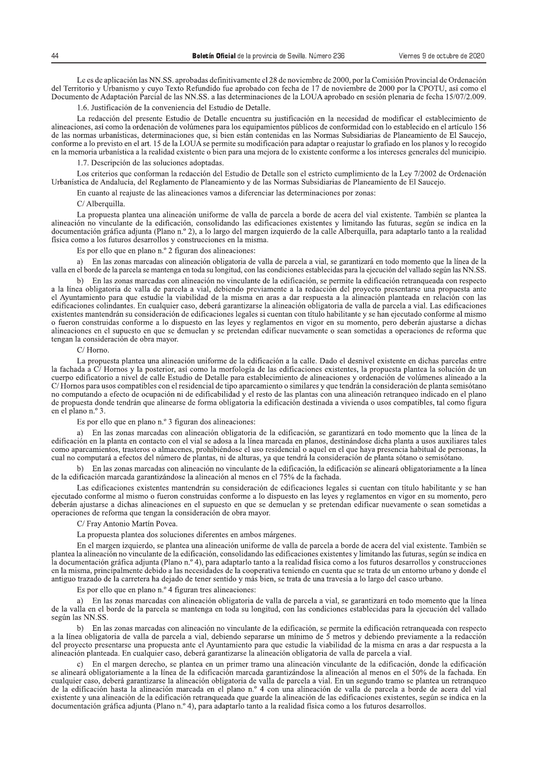Le es de aplicación las NN.SS. aprobadas definitivamente el 28 de noviembre de 2000, por la Comisión Provincial de Ordenación del Territorio y Urbanismo y cuyo Texto Refundido fue aprobado con fecha de 17 de noviembre de 2000 por la CPOTU, así como el Documento de Adaptación Parcial de las NN.SS. a las determinaciones de la LOUA aprobado en sesión plenaria de fecha 15/07/2.009.

1.6. Justificación de la conveniencia del Estudio de Detalle.

La redacción del presente Estudio de Detalle encuentra su justificación en la necesidad de modificar el establecimiento de alineaciones, así como la ordenación de volúmenes para los equipamientos públicos de conformidad con lo establecido en el artículo 156 de las normas urbanísticas, determinaciones que, si bien están contenidas en las Normas Subsidiarias de Planeamiento de El Saucejo, conforme a lo previsto en el art. 15 de la LOUA se permite su modificación para adaptar o reajustar lo grafiado en los planos y lo recogido en la memoria urbanística a la realidad existente o bien para una mejora de lo existente conforme a los intereses generales del municipio.

1.7. Descripción de las soluciones adoptadas.

Los criterios que conforman la redacción del Estudio de Detalle son el estricto cumplimiento de la Ley 7/2002 de Ordenación Urbanística de Andalucía, del Reglamento de Planeamiento y de las Normas Subsidiarias de Planeamiento de El Saucejo.

En cuanto al reajuste de las alineaciones vamos a diferenciar las determinaciones por zonas:

C/ Alberquilla.

La propuesta plantea una alineación uniforme de valla de parcela a borde de acera del vial existente. También se plantea la alineación no vinculante de la edificación, consolidando las edificaciones existentes y limitando las futuras, según se indica en la documentación gráfica adjunta (Plano n.º 2), a lo largo del margen izquierdo de la calle Alberquilla, para adaptarlo tanto a la realidad física como a los futuros desarrollos y construcciones en la misma.

Es por ello que en plano n.º 2 figuran dos alineaciones:

En las zonas marcadas con alineación obligatoria de valla de parcela a vial, se garantizará en todo momento que la línea de la a) valla en el borde de la parcela se mantenga en toda su longitud, con las condiciones establecidas para la ejecución del vallado según las NN.SS.

En las zonas marcadas con alineación no vinculante de la edificación, se permite la edificación retranqueada con respecto a la línea obligatoria de valla de parcela a vial, debiendo previamente a la redacción del proyecto presentarse una propuesta ante el Avuntamiento para que estudie la viabilidad de la misma en aras a dar respuesta a la alineación planteada en relación con las edificaciones colindantes. En cualquier caso, deberá garantizarse la alineación obligatoria de valla de parcela a vial. Las edificaciones existentes mantendrán su consideración de edificaciones legales si cuentan con título habilitante y se han ejecutado conforme al mismo o fueron construidas conforme a lo dispuesto en las leves y reglamentos en vigor en su momento, pero deberán ajustarse a dichas alineaciones en el supuesto en que se demuelan y se pretendan edificar nuevamente o sean sometidas a operaciones de reforma que tengan la consideración de obra mayor.

## $C/$  Horno

La propuesta plantea una alineación uniforme de la edificación a la calle. Dado el desnivel existente en dichas parcelas entre la fachada a C/Hornos y la posterior, así como la morfología de las edificaciones existentes, la propuesta plantea la solución de un cuerpo edificatorio a nivel de calle Estudio de Detalle para establecimiento de alineaciones y ordenación de volúmenes alineado a la C/Hornos para usos compatibles con el residencial de tipo aparcamiento o similares y que tendrán la consideración de planta semisótano no computando a efecto de ocupación ni de edificabilidad y el resto de las plantas con una alineación retranqueo indicado en el plano de propuesta donde tendrán que alinearse de forma obligatoria la edificación destinada a vivienda o usos compatibles, tal como figura en el plano n.º 3.

Es por ello que en plano n.º 3 figuran dos alineaciones:

a) En las zonas marcadas con alineación obligatoria de la edificación, se garantizará en todo momento que la línea de la edificación en la planta en contacto con el vial se adosa a la línea marcada en planos, destinándose dicha planta a usos auxiliares tales como aparcamientos, trasteros o almacenes, prohibiéndose el uso residencial o aquel en el que haya presencia habitual de personas, la cual no computará a efectos del número de plantas, ni de alturas, ya que tendrá la consideración de planta sótano o semisótano.

b) En las zonas marcadas con alineación no vinculante de la edificación, la edificación se alineará obligatoriamente a la línea de la edificación marcada garantizándose la alineación al menos en el 75% de la fachada.

Las edificaciones existentes mantendrán su consideración de edificaciones legales si cuentan con título habilitante y se han ejecutado conforme al mismo o fueron construidas conforme a lo dispuesto en las leyes y reglamentos en vigor en su momento, pero deberán ajustarse a dichas alineaciones en el supuesto en que se demuelan y se pretendan edificar nuevamente o sean sometidas a operaciones de reforma que tengan la consideración de obra mayor.

C/ Fray Antonio Martín Povea.

La propuesta plantea dos soluciones diferentes en ambos márgenes.

En el margen izquierdo, se plantea una alineación uniforme de valla de parcela a borde de acera del vial existente. También se plantea la alineación no vinculante de la edificación, consolidando las edificaciones existentes y limitando las futuras, según se indica en la documentación gráfica adjunta (Plano n.º 4), para adaptarlo tanto a la realidad física como a los futuros desarrollos y construcciones en la misma, principalmente debido a las necesidades de la cooperativa teniendo en cuenta que se trata de un entorno urbano y donde el antiguo trazado de la carretera ha dejado de tener sentido y más bien, se trata de una travesía a lo largo del casco urbano.

Es por ello que en plano n.º 4 figuran tres alineaciones:

a) En las zonas marcadas con alineación obligatoria de valla de parcela a vial, se garantizará en todo momento que la línea de la valla en el borde de la parcela se mantenga en toda su longitud, con las condiciones establecidas para la ejecución del vallado según las NN.SS.

En las zonas marcadas con alineación no vinculante de la edificación, se permite la edificación retranqueada con respecto a la línea obligatoria de valla de parcela a vial, debiendo separarse un mínimo de 5 metros y debiendo previamente a la redacción del proyecto presentarse una propuesta ante el Ayuntamiento para que estudie la viabilidad de la misma en aras a dar respuesta a la alineación planteada. En cualquier caso, deberá garantizarse la alineación obligatoria de valla de parcela a vial.

En el margen derecho, se plantea en un primer tramo una alineación vinculante de la edificación, donde la edificación se alineará obligatoriamente a la línea de la edificación marcada garantizándose la alineación al menos en el 50% de la fachada. En cualquier caso, deberá garantizarse la alineación obligatoria de valla de parcela a vial. En un segundo tramo se plantea un retranqueo de la edificación hasta la alineación marcada en el plano n.º 4 con una alineación de valla de parcela a borde de acera del vial<br>existente y una alineación hasta la alineación marcada en el plano n.º 4 con una alineación d documentación gráfica adjunta (Plano n.º 4), para adaptarlo tanto a la realidad física como a los futuros desarrollos.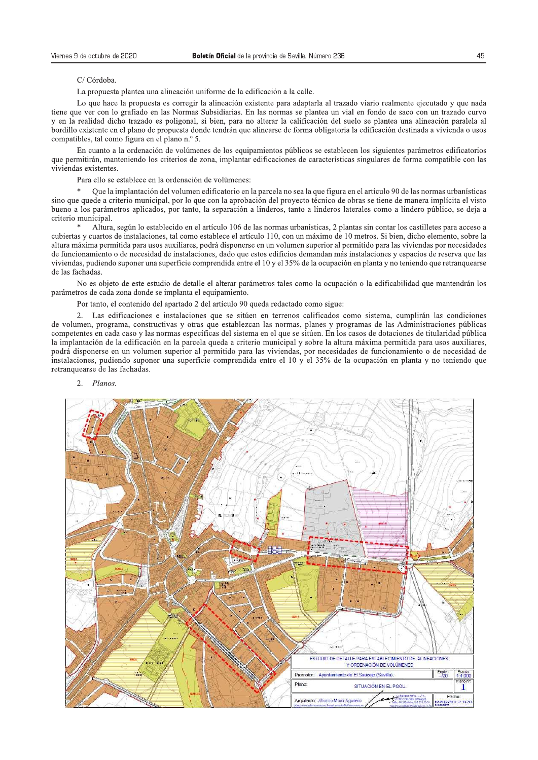## C/Córdoba.

La propuesta plantea una alineación uniforme de la edificación a la calle.

Lo que hace la propuesta es corregir la alineación existente para adaptarla al trazado viario realmente ejecutado y que nada tiene que ver con lo grafiado en las Normas Subsidiarias. En las normas se plantea un vial en fondo de saco con un trazado curvo y en la realidad dicho trazado es poligonal, si bien, para no alterar la calificación del suelo se plantea una alineación paralela al bordillo existente en el plano de propuesta donde tendrán que alinearse de forma obligatoria la edificación destinada a vivienda o usos compatibles, tal como figura en el plano n.º 5.

En cuanto a la ordenación de volúmenes de los equipamientos públicos se establecen los siguientes parámetros edificatorios que permitirán, manteniendo los criterios de zona, implantar edificaciones de características singulares de forma compatible con las viviendas existentes.

Para ello se establece en la ordenación de volúmenes:

Que la implantación del volumen edificatorio en la parcela no sea la que figura en el artículo 90 de las normas urbanísticas sino que quede a criterio municipal, por lo que con la aprobación del proyecto técnico de obras se tiene de manera implícita el visto bueno a los parámetros aplicados, por tanto, la separación a linderos, tanto a linderos laterales como a lindero público, se deja a criterio municipal.

Altura, según lo establecido en el artículo 106 de las normas urbanísticas, 2 plantas sin contar los castilletes para acceso a cubiertas y cuartos de instalaciones, tal como establece el artículo 110, con un máximo de 10 metros. Si bien, dicho elemento, sobre la altura máxima permitida para usos auxiliares, podrá disponerse en un volumen superior al permitido para las viviendas por necesidades de funcionamiento o de necesidad de instalaciones, dado que estos edificios demandan más instalaciones y espacios de reserva que las viviendas, pudiendo suponer una superficie comprendida entre el 10 y el 35% de la ocupación en planta y no teniendo que retranquearse de las fachadas.

No es objeto de este estudio de detalle el alterar parámetros tales como la ocupación o la edificabilidad que mantendrán los parámetros de cada zona donde se implanta el equipamiento.

Por tanto, el contenido del apartado 2 del artículo 90 queda redactado como sigue:

2. Las edificaciones e instalaciones que se sitúen en terrenos calificados como sistema, cumplirán las condiciones de volumen, programa, constructivas y otras que establezcan las normas, planes y programas de las Administraciones públicas competentes en cada caso y las normas específicas del sistema en el que se sitúen. En los casos de dotaciones de titularidad pública la implantación de la edificación en la parcela queda a criterio municipal y sobre la altura máxima permitida para usos auxiliares, podrá disponerse en un volumen superior al permitido para las viviendas, por necesidades de funcionamiento o de necesidad de instalaciones, pudiendo suponer una superficie comprendida entre el 10 y el 35% de la ocupación en planta y no teniendo que retranquearse de las fachadas.



Planos.  $\mathcal{D}$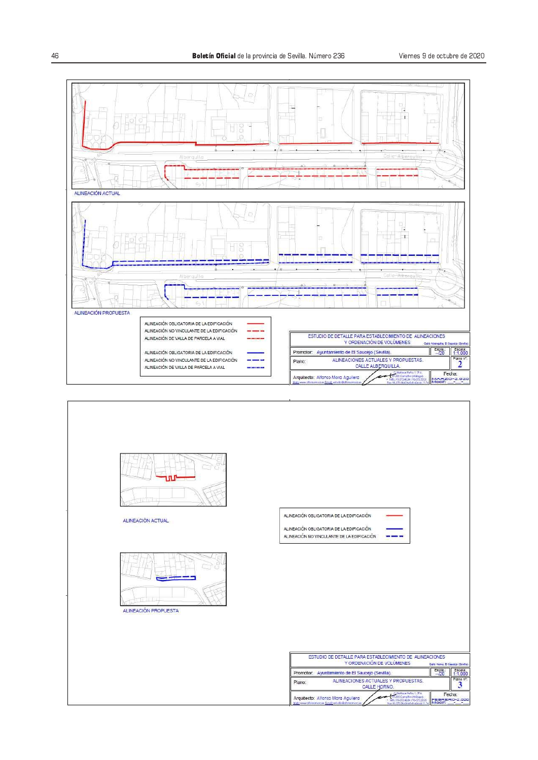